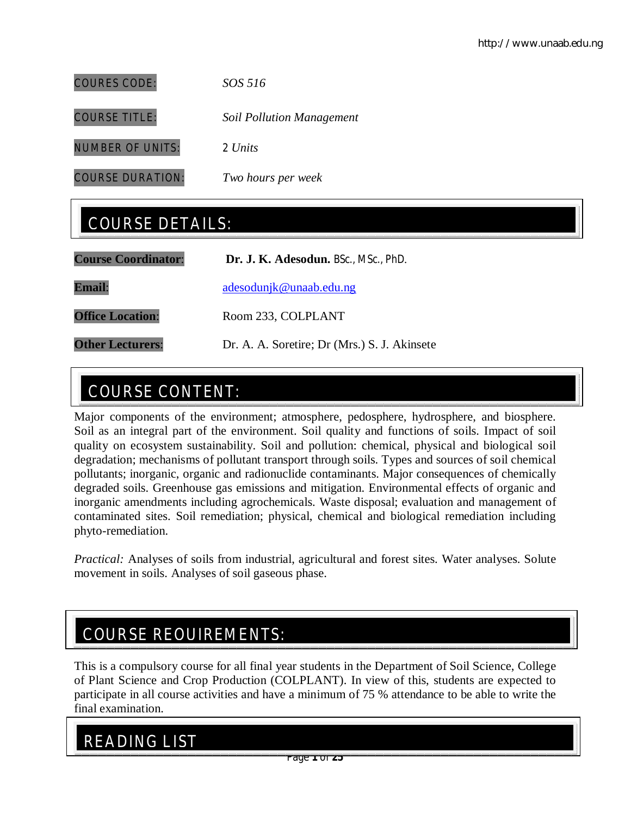| <b>COURES CODE:</b>  | SOS 516                          |
|----------------------|----------------------------------|
| <b>COURSE TITLE:</b> | <b>Soil Pollution Management</b> |

NUMBER OF UNITS: 2 *Units*

COURSE DURATION: *Two hours per week*

## COURSE DETAILS:

| <b>Course Coordinator:</b> | Dr. J. K. Adesodun. BSc., MSc., PhD.         |
|----------------------------|----------------------------------------------|
| <b>Email:</b>              | adesodunjk@unaab.edu.ng                      |
| <b>Office Location:</b>    | Room 233, COLPLANT                           |
| <b>Other Lecturers:</b>    | Dr. A. A. Soretire; Dr (Mrs.) S. J. Akinsete |

## COURSE CONTENT:

Major components of the environment; atmosphere, pedosphere, hydrosphere, and biosphere. Soil as an integral part of the environment. Soil quality and functions of soils. Impact of soil quality on ecosystem sustainability. Soil and pollution: chemical, physical and biological soil degradation; mechanisms of pollutant transport through soils. Types and sources of soil chemical pollutants; inorganic, organic and radionuclide contaminants. Major consequences of chemically degraded soils. Greenhouse gas emissions and mitigation. Environmental effects of organic and inorganic amendments including agrochemicals. Waste disposal; evaluation and management of contaminated sites. Soil remediation; physical, chemical and biological remediation including phyto-remediation.

*Practical:* Analyses of soils from industrial, agricultural and forest sites. Water analyses. Solute movement in soils. Analyses of soil gaseous phase.

## COURSE REQUIREMENTS:

This is a compulsory course for all final year students in the Department of Soil Science, College of Plant Science and Crop Production (COLPLANT). In view of this, students are expected to participate in all course activities and have a minimum of 75 % attendance to be able to write the final examination.

## READING LIST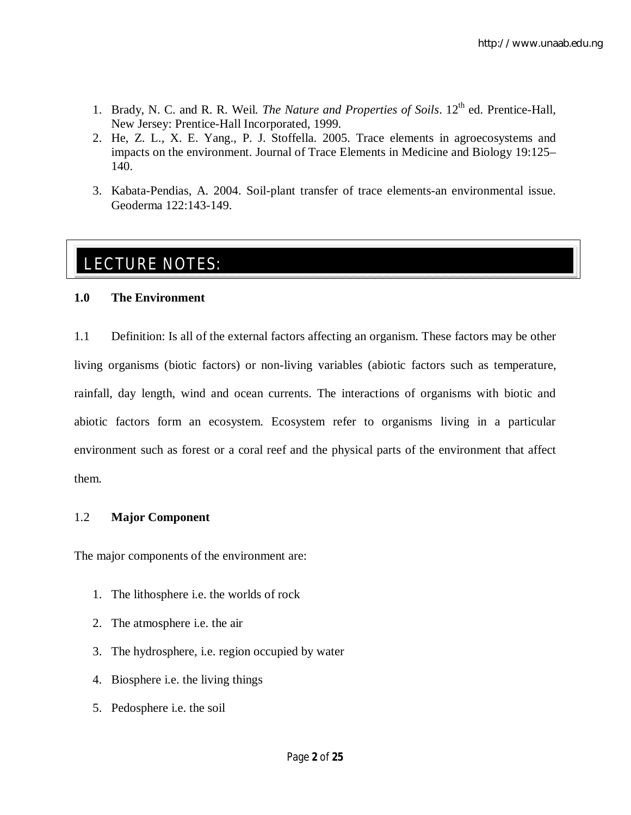- 1. Brady, N. C. and R. R. Weil. *The Nature and Properties of Soils*. 12th ed. Prentice-Hall, New Jersey: Prentice-Hall Incorporated, 1999.
- 2. He, Z. L., X. E. Yang., P. J. Stoffella. 2005. Trace elements in agroecosystems and impacts on the environment. Journal of Trace Elements in Medicine and Biology 19:125– 140.
- 3. Kabata-Pendias, A. 2004. Soil-plant transfer of trace elements-an environmental issue. Geoderma 122:143-149.

# <u>LECTURE NOTES: A. 2004. Soil-plant transfer of the transfer of the transfer of the transfer of the transfer of t</u>

## **1.0 The Environment**

1.1 Definition: Is all of the external factors affecting an organism. These factors may be other living organisms (biotic factors) or non-living variables (abiotic factors such as temperature, rainfall, day length, wind and ocean currents. The interactions of organisms with biotic and abiotic factors form an ecosystem. Ecosystem refer to organisms living in a particular environment such as forest or a coral reef and the physical parts of the environment that affect them.

## 1.2 **Major Component**

The major components of the environment are:

- 1. The lithosphere i.e. the worlds of rock
- 2. The atmosphere i.e. the air
- 3. The hydrosphere, i.e. region occupied by water
- 4. Biosphere i.e. the living things
- 5. Pedosphere i.e. the soil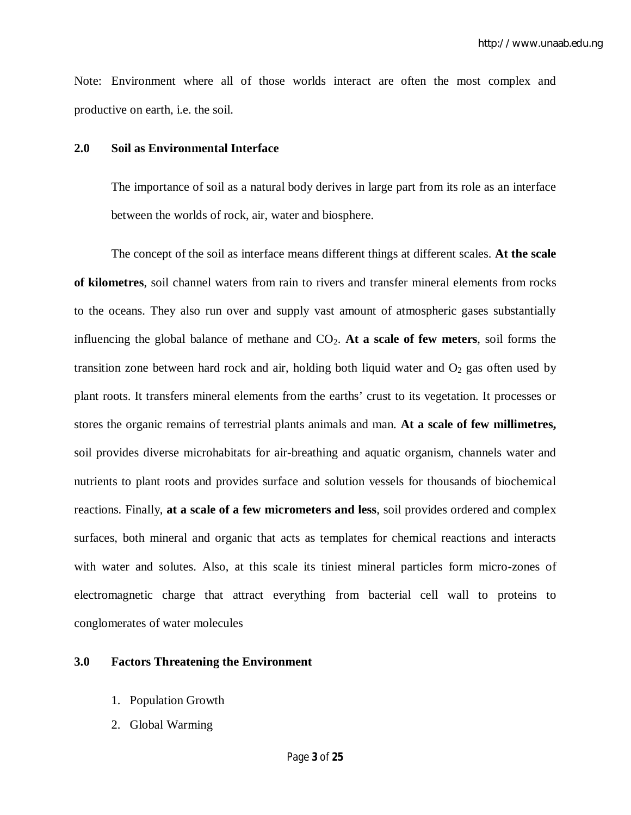Note: Environment where all of those worlds interact are often the most complex and productive on earth, i.e. the soil.

#### **2.0 Soil as Environmental Interface**

The importance of soil as a natural body derives in large part from its role as an interface between the worlds of rock, air, water and biosphere.

The concept of the soil as interface means different things at different scales. **At the scale of kilometres**, soil channel waters from rain to rivers and transfer mineral elements from rocks to the oceans. They also run over and supply vast amount of atmospheric gases substantially influencing the global balance of methane and  $CO<sub>2</sub>$ . At a scale of few meters, soil forms the transition zone between hard rock and air, holding both liquid water and  $O<sub>2</sub>$  gas often used by plant roots. It transfers mineral elements from the earths' crust to its vegetation. It processes or stores the organic remains of terrestrial plants animals and man. **At a scale of few millimetres,** soil provides diverse microhabitats for air-breathing and aquatic organism, channels water and nutrients to plant roots and provides surface and solution vessels for thousands of biochemical reactions. Finally, **at a scale of a few micrometers and less**, soil provides ordered and complex surfaces, both mineral and organic that acts as templates for chemical reactions and interacts with water and solutes. Also, at this scale its tiniest mineral particles form micro-zones of electromagnetic charge that attract everything from bacterial cell wall to proteins to conglomerates of water molecules

#### **3.0 Factors Threatening the Environment**

- 1. Population Growth
- 2. Global Warming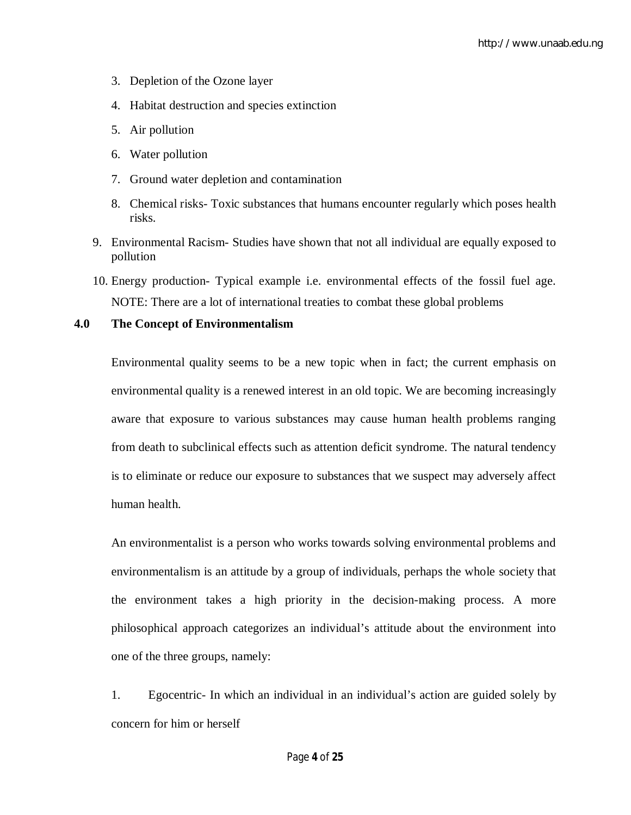- 3. Depletion of the Ozone layer
- 4. Habitat destruction and species extinction
- 5. Air pollution
- 6. Water pollution
- 7. Ground water depletion and contamination
- 8. Chemical risks- Toxic substances that humans encounter regularly which poses health risks.
- 9. Environmental Racism- Studies have shown that not all individual are equally exposed to pollution
- 10. Energy production- Typical example i.e. environmental effects of the fossil fuel age. NOTE: There are a lot of international treaties to combat these global problems

#### **4.0 The Concept of Environmentalism**

Environmental quality seems to be a new topic when in fact; the current emphasis on environmental quality is a renewed interest in an old topic. We are becoming increasingly aware that exposure to various substances may cause human health problems ranging from death to subclinical effects such as attention deficit syndrome. The natural tendency is to eliminate or reduce our exposure to substances that we suspect may adversely affect human health.

An environmentalist is a person who works towards solving environmental problems and environmentalism is an attitude by a group of individuals, perhaps the whole society that the environment takes a high priority in the decision-making process. A more philosophical approach categorizes an individual's attitude about the environment into one of the three groups, namely:

1. Egocentric- In which an individual in an individual's action are guided solely by concern for him or herself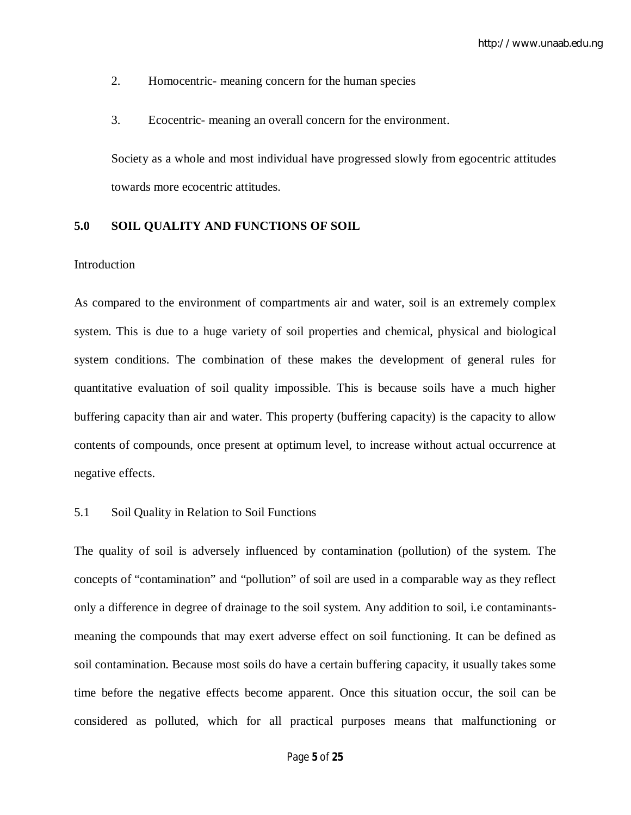- 2. Homocentric- meaning concern for the human species
- 3. Ecocentric- meaning an overall concern for the environment.

Society as a whole and most individual have progressed slowly from egocentric attitudes towards more ecocentric attitudes.

#### **5.0 SOIL QUALITY AND FUNCTIONS OF SOIL**

#### Introduction

As compared to the environment of compartments air and water, soil is an extremely complex system. This is due to a huge variety of soil properties and chemical, physical and biological system conditions. The combination of these makes the development of general rules for quantitative evaluation of soil quality impossible. This is because soils have a much higher buffering capacity than air and water. This property (buffering capacity) is the capacity to allow contents of compounds, once present at optimum level, to increase without actual occurrence at negative effects.

#### 5.1 Soil Quality in Relation to Soil Functions

The quality of soil is adversely influenced by contamination (pollution) of the system. The concepts of "contamination" and "pollution" of soil are used in a comparable way as they reflect only a difference in degree of drainage to the soil system. Any addition to soil, i.e contaminantsmeaning the compounds that may exert adverse effect on soil functioning. It can be defined as soil contamination. Because most soils do have a certain buffering capacity, it usually takes some time before the negative effects become apparent. Once this situation occur, the soil can be considered as polluted, which for all practical purposes means that malfunctioning or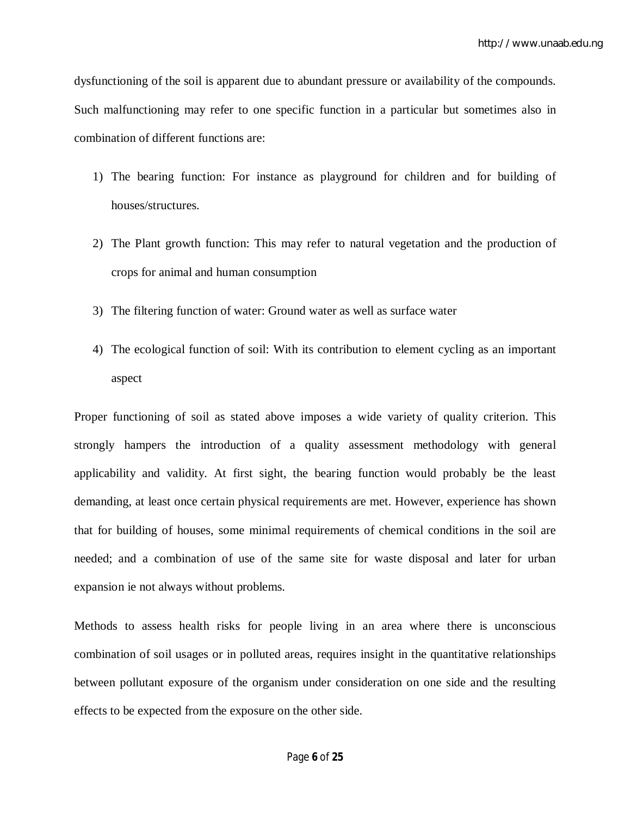dysfunctioning of the soil is apparent due to abundant pressure or availability of the compounds. Such malfunctioning may refer to one specific function in a particular but sometimes also in combination of different functions are:

- 1) The bearing function: For instance as playground for children and for building of houses/structures.
- 2) The Plant growth function: This may refer to natural vegetation and the production of crops for animal and human consumption
- 3) The filtering function of water: Ground water as well as surface water
- 4) The ecological function of soil: With its contribution to element cycling as an important aspect

Proper functioning of soil as stated above imposes a wide variety of quality criterion. This strongly hampers the introduction of a quality assessment methodology with general applicability and validity. At first sight, the bearing function would probably be the least demanding, at least once certain physical requirements are met. However, experience has shown that for building of houses, some minimal requirements of chemical conditions in the soil are needed; and a combination of use of the same site for waste disposal and later for urban expansion ie not always without problems.

Methods to assess health risks for people living in an area where there is unconscious combination of soil usages or in polluted areas, requires insight in the quantitative relationships between pollutant exposure of the organism under consideration on one side and the resulting effects to be expected from the exposure on the other side.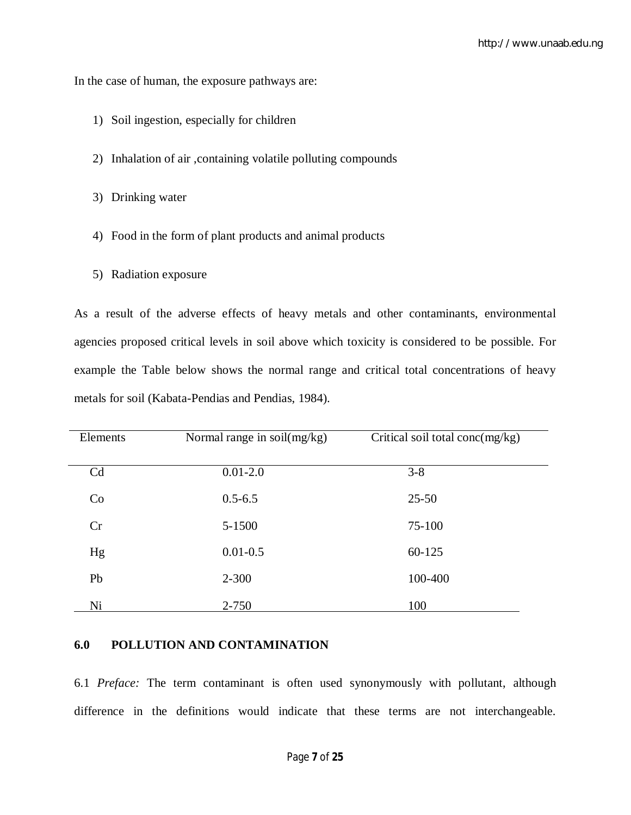In the case of human, the exposure pathways are:

- 1) Soil ingestion, especially for children
- 2) Inhalation of air ,containing volatile polluting compounds
- 3) Drinking water
- 4) Food in the form of plant products and animal products
- 5) Radiation exposure

As a result of the adverse effects of heavy metals and other contaminants, environmental agencies proposed critical levels in soil above which toxicity is considered to be possible. For example the Table below shows the normal range and critical total concentrations of heavy metals for soil (Kabata-Pendias and Pendias, 1984).

| Elements | Normal range in soil(mg/kg) | Critical soil total conc $(mg/kg)$ |
|----------|-----------------------------|------------------------------------|
|          |                             |                                    |
| Cd       | $0.01 - 2.0$                | $3 - 8$                            |
| Co       | $0.5 - 6.5$                 | $25 - 50$                          |
| Cr       | 5-1500                      | 75-100                             |
| Hg       | $0.01 - 0.5$                | 60-125                             |
| Pb       | $2 - 300$                   | 100-400                            |
| Ni       | 2-750                       | 100                                |

#### **6.0 POLLUTION AND CONTAMINATION**

6.1 *Preface:* The term contaminant is often used synonymously with pollutant, although difference in the definitions would indicate that these terms are not interchangeable.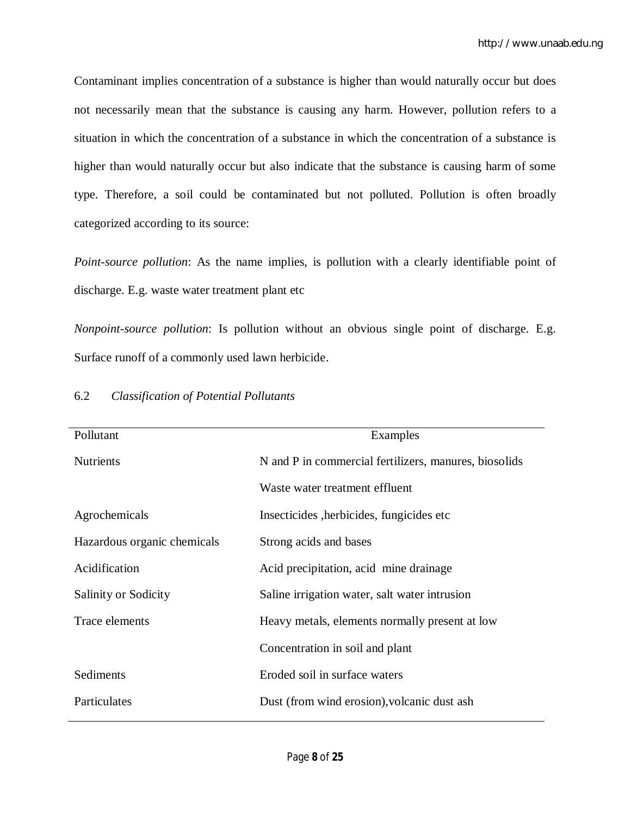Contaminant implies concentration of a substance is higher than would naturally occur but does not necessarily mean that the substance is causing any harm. However, pollution refers to a situation in which the concentration of a substance in which the concentration of a substance is higher than would naturally occur but also indicate that the substance is causing harm of some type. Therefore, a soil could be contaminated but not polluted. Pollution is often broadly categorized according to its source:

*Point-source pollution*: As the name implies, is pollution with a clearly identifiable point of discharge. E.g. waste water treatment plant etc

*Nonpoint-source pollution*: Is pollution without an obvious single point of discharge. E.g. Surface runoff of a commonly used lawn herbicide.

| Pollutant                   | Examples                                              |
|-----------------------------|-------------------------------------------------------|
| <b>Nutrients</b>            | N and P in commercial fertilizers, manures, biosolids |
|                             | Waste water treatment effluent                        |
| Agrochemicals               | Insecticides, herbicides, fungicides etc.             |
| Hazardous organic chemicals | Strong acids and bases                                |
| Acidification               | Acid precipitation, acid mine drainage                |
| Salinity or Sodicity        | Saline irrigation water, salt water intrusion         |
| Trace elements              | Heavy metals, elements normally present at low        |
|                             | Concentration in soil and plant                       |
| Sediments                   | Eroded soil in surface waters                         |
| Particulates                | Dust (from wind erosion), volcanic dust ash           |

#### 6.2 *Classification of Potential Pollutants*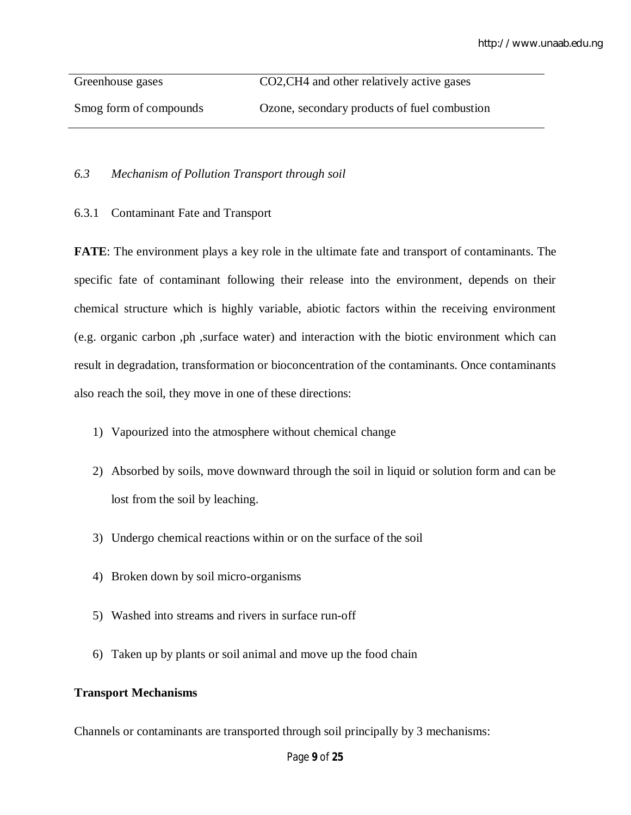Greenhouse gases CO2, CH4 and other relatively active gases Smog form of compounds Ozone, secondary products of fuel combustion

## *6.3 Mechanism of Pollution Transport through soil*

6.3.1 Contaminant Fate and Transport

**FATE**: The environment plays a key role in the ultimate fate and transport of contaminants. The specific fate of contaminant following their release into the environment, depends on their chemical structure which is highly variable, abiotic factors within the receiving environment (e.g. organic carbon ,ph ,surface water) and interaction with the biotic environment which can result in degradation, transformation or bioconcentration of the contaminants. Once contaminants also reach the soil, they move in one of these directions:

- 1) Vapourized into the atmosphere without chemical change
- 2) Absorbed by soils, move downward through the soil in liquid or solution form and can be lost from the soil by leaching.
- 3) Undergo chemical reactions within or on the surface of the soil
- 4) Broken down by soil micro-organisms
- 5) Washed into streams and rivers in surface run-off
- 6) Taken up by plants or soil animal and move up the food chain

## **Transport Mechanisms**

Channels or contaminants are transported through soil principally by 3 mechanisms: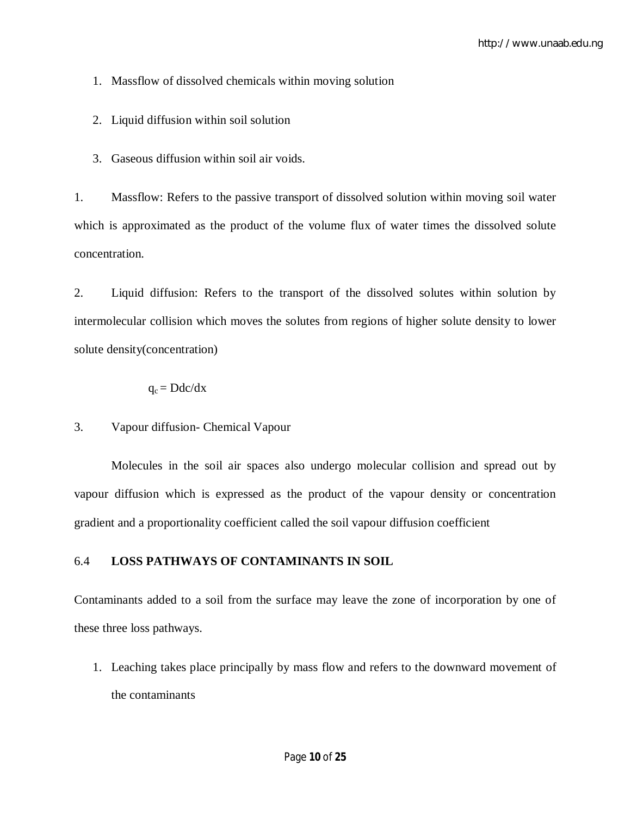1. Massflow of dissolved chemicals within moving solution

- 2. Liquid diffusion within soil solution
- 3. Gaseous diffusion within soil air voids.

1. Massflow: Refers to the passive transport of dissolved solution within moving soil water which is approximated as the product of the volume flux of water times the dissolved solute concentration.

2. Liquid diffusion: Refers to the transport of the dissolved solutes within solution by intermolecular collision which moves the solutes from regions of higher solute density to lower solute density(concentration)

$$
q_c = Ddc/dx
$$

3. Vapour diffusion- Chemical Vapour

Molecules in the soil air spaces also undergo molecular collision and spread out by vapour diffusion which is expressed as the product of the vapour density or concentration gradient and a proportionality coefficient called the soil vapour diffusion coefficient

## 6.4 **LOSS PATHWAYS OF CONTAMINANTS IN SOIL**

Contaminants added to a soil from the surface may leave the zone of incorporation by one of these three loss pathways.

1. Leaching takes place principally by mass flow and refers to the downward movement of the contaminants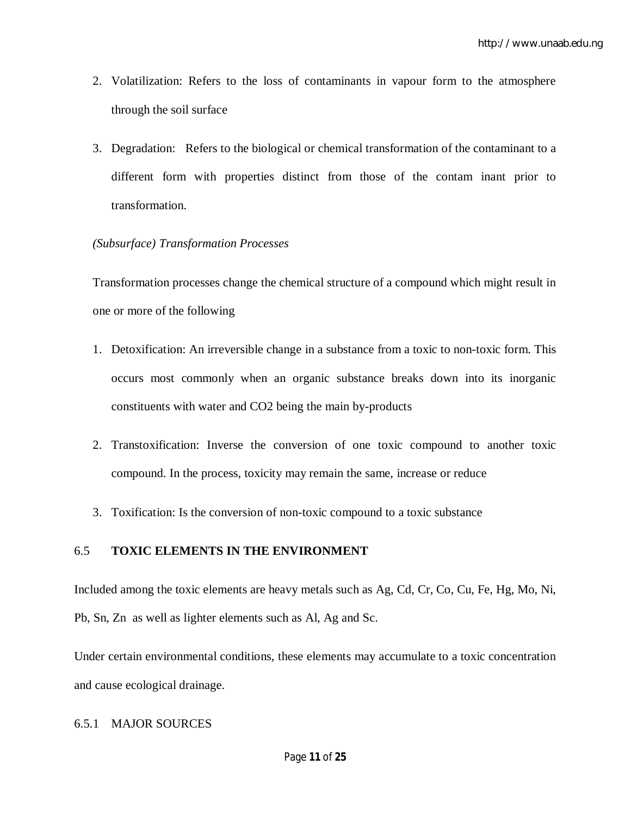- 2. Volatilization: Refers to the loss of contaminants in vapour form to the atmosphere through the soil surface
- 3. Degradation: Refers to the biological or chemical transformation of the contaminant to a different form with properties distinct from those of the contam inant prior to transformation.

### *(Subsurface) Transformation Processes*

Transformation processes change the chemical structure of a compound which might result in one or more of the following

- 1. Detoxification: An irreversible change in a substance from a toxic to non-toxic form. This occurs most commonly when an organic substance breaks down into its inorganic constituents with water and CO2 being the main by-products
- 2. Transtoxification: Inverse the conversion of one toxic compound to another toxic compound. In the process, toxicity may remain the same, increase or reduce
- 3. Toxification: Is the conversion of non-toxic compound to a toxic substance

## 6.5 **TOXIC ELEMENTS IN THE ENVIRONMENT**

Included among the toxic elements are heavy metals such as Ag, Cd, Cr, Co, Cu, Fe, Hg, Mo, Ni, Pb, Sn, Zn as well as lighter elements such as Al, Ag and Sc.

Under certain environmental conditions, these elements may accumulate to a toxic concentration and cause ecological drainage.

#### 6.5.1 MAJOR SOURCES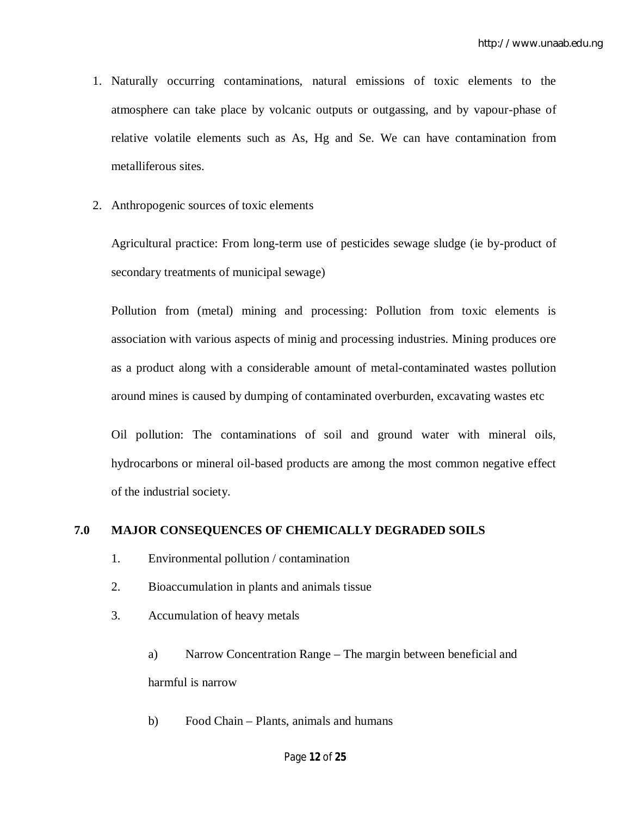- 1. Naturally occurring contaminations, natural emissions of toxic elements to the atmosphere can take place by volcanic outputs or outgassing, and by vapour-phase of relative volatile elements such as As, Hg and Se. We can have contamination from metalliferous sites.
- 2. Anthropogenic sources of toxic elements

Agricultural practice: From long-term use of pesticides sewage sludge (ie by-product of secondary treatments of municipal sewage)

Pollution from (metal) mining and processing: Pollution from toxic elements is association with various aspects of minig and processing industries. Mining produces ore as a product along with a considerable amount of metal-contaminated wastes pollution around mines is caused by dumping of contaminated overburden, excavating wastes etc

Oil pollution: The contaminations of soil and ground water with mineral oils, hydrocarbons or mineral oil-based products are among the most common negative effect of the industrial society.

## **7.0 MAJOR CONSEQUENCES OF CHEMICALLY DEGRADED SOILS**

- 1. Environmental pollution / contamination
- 2. Bioaccumulation in plants and animals tissue
- 3. Accumulation of heavy metals
	- a) Narrow Concentration Range The margin between beneficial and harmful is narrow
	- b) Food Chain Plants, animals and humans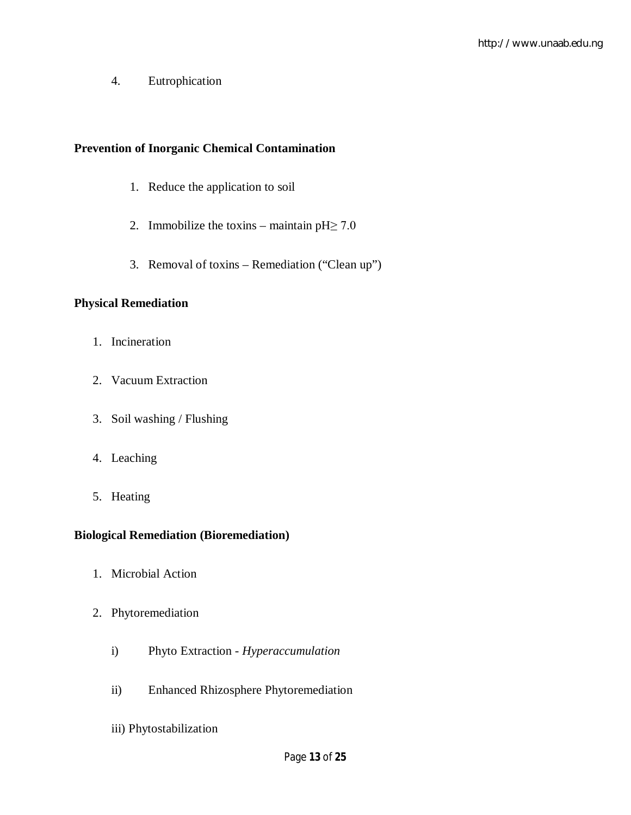4. Eutrophication

## **Prevention of Inorganic Chemical Contamination**

- 1. Reduce the application to soil
- 2. Immobilize the toxins maintain  $pH \ge 7.0$
- 3. Removal of toxins Remediation ("Clean up")

## **Physical Remediation**

- 1. Incineration
- 2. Vacuum Extraction
- 3. Soil washing / Flushing
- 4. Leaching
- 5. Heating

## **Biological Remediation (Bioremediation)**

- 1. Microbial Action
- 2. Phytoremediation
	- i) Phyto Extraction *Hyperaccumulation*
	- ii) Enhanced Rhizosphere Phytoremediation
	- iii) Phytostabilization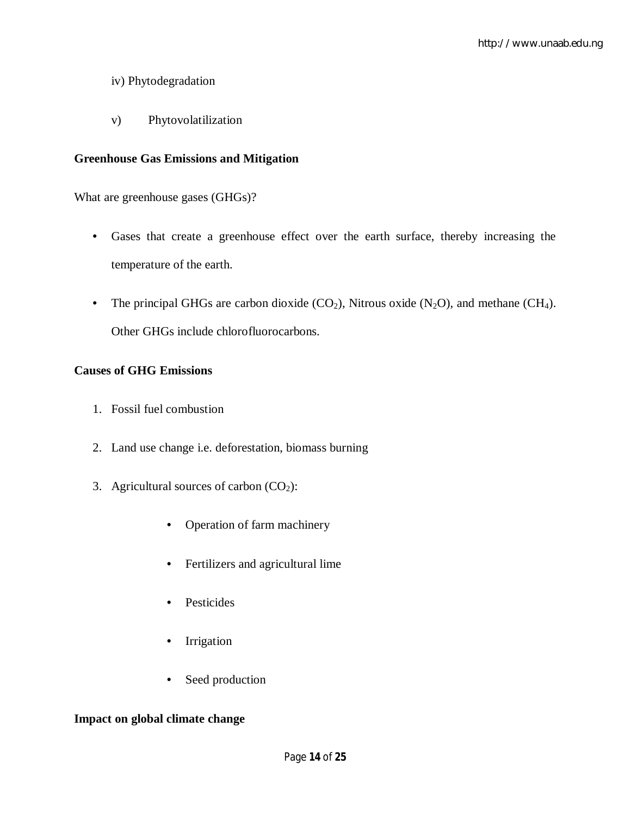## iv) Phytodegradation

v) Phytovolatilization

## **Greenhouse Gas Emissions and Mitigation**

What are greenhouse gases (GHGs)?

- Gases that create a greenhouse effect over the earth surface, thereby increasing the temperature of the earth.
- The principal GHGs are carbon dioxide  $(CO_2)$ , Nitrous oxide  $(N_2O)$ , and methane  $(CH_4)$ . Other GHGs include chlorofluorocarbons.

## **Causes of GHG Emissions**

- 1. Fossil fuel combustion
- 2. Land use change i.e. deforestation, biomass burning
- 3. Agricultural sources of carbon  $(CO<sub>2</sub>)$ :
	- Operation of farm machinery
	- Fertilizers and agricultural lime
	- Pesticides
	- Irrigation
	- Seed production

## **Impact on global climate change**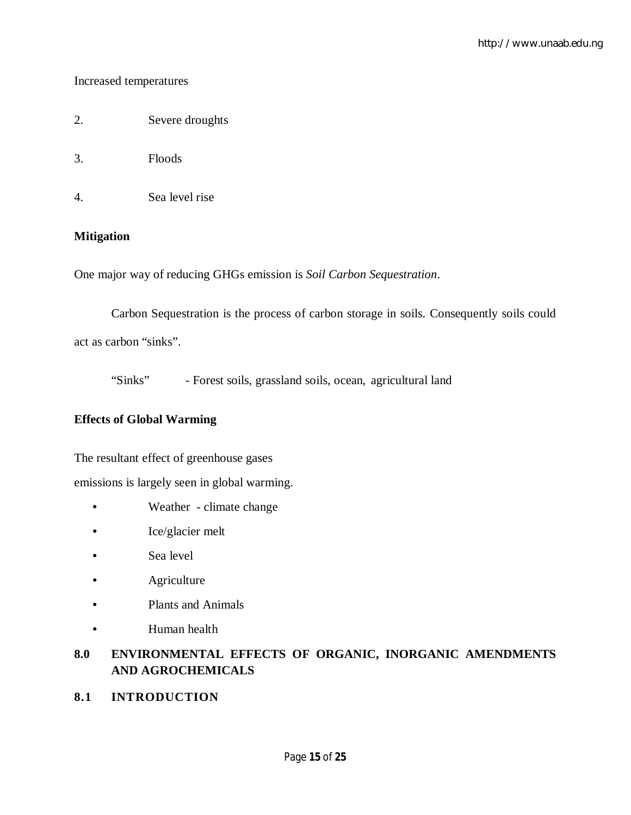## Increased temperatures

- 2. Severe droughts
- 3. Floods
- 4. Sea level rise

## **Mitigation**

One major way of reducing GHGs emission is *Soil Carbon Sequestration*.

Carbon Sequestration is the process of carbon storage in soils. Consequently soils could act as carbon "sinks".

"Sinks" - Forest soils, grassland soils, ocean, agricultural land

## **Effects of Global Warming**

The resultant effect of greenhouse gases

emissions is largely seen in global warming.

- Weather climate change
- Ice/glacier melt
- Sea level
- **Agriculture**
- Plants and Animals
- Human health

## **8.0 ENVIRONMENTAL EFFECTS OF ORGANIC, INORGANIC AMENDMENTS AND AGROCHEMICALS**

**8.1 INTRODUCTION**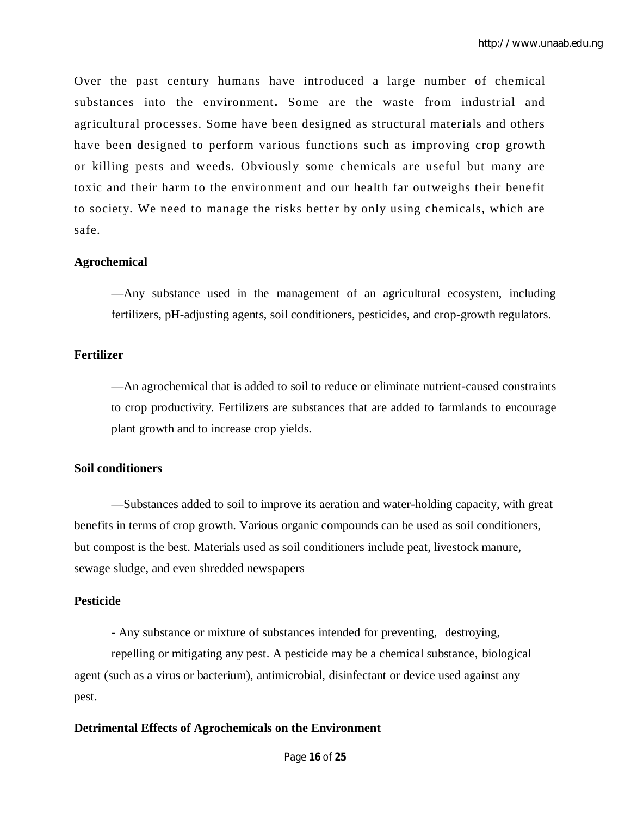Over the past century humans have introduced a large number of chemical substances into the environment**.** Some are the waste from industrial and agricultural processes. Some have been designed as structural materials and others have been designed to perform various functions such as improving crop growth or killing pests and weeds. Obviously some chemicals are useful but many are toxic and their harm to the environment and our health far outweighs their benefit to society. We need to manage the risks better by only using chemicals, which are safe.

#### **Agrochemical**

—Any substance used in the management of an agricultural ecosystem, including fertilizers, pH-adjusting agents, soil conditioners, pesticides, and crop-growth regulators.

#### **Fertilizer**

—An agrochemical that is added to soil to reduce or eliminate nutrient-caused constraints to crop productivity. Fertilizers are substances that are added to farmlands to encourage plant growth and to increase crop yields.

#### **Soil conditioners**

—Substances added to soil to improve its aeration and water-holding capacity, with great benefits in terms of crop growth. Various organic compounds can be used as soil conditioners, but compost is the best. Materials used as soil conditioners include peat, livestock manure, sewage sludge, and even shredded newspapers

#### **Pesticide**

- Any substance or mixture of substances intended for preventing, destroying,

repelling or mitigating any pest. A pesticide may be a chemical substance, biological agent (such as a virus or bacterium), antimicrobial, disinfectant or device used against any pest.

#### **Detrimental Effects of Agrochemicals on the Environment**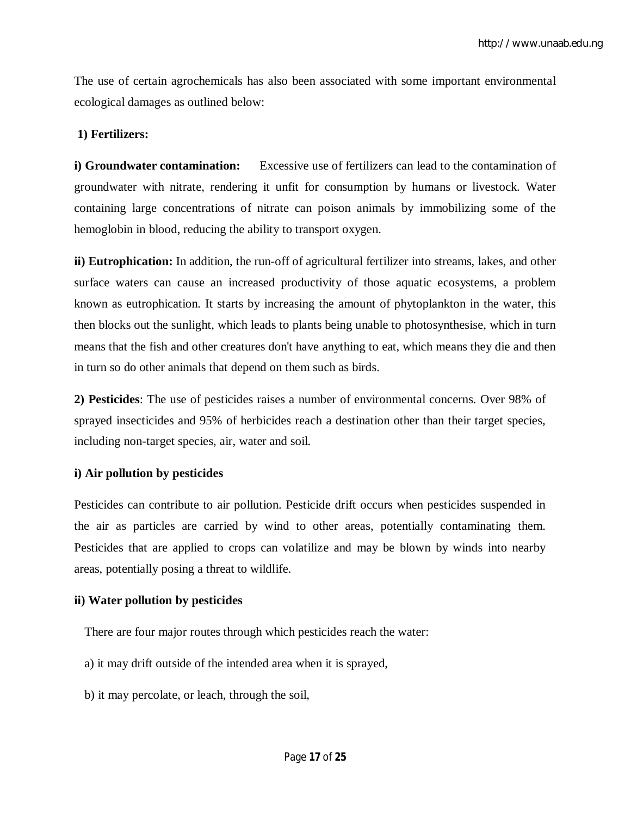The use of certain agrochemicals has also been associated with some important environmental ecological damages as outlined below:

### **1) Fertilizers:**

**i) Groundwater contamination:** Excessive use of fertilizers can lead to the contamination of groundwater with nitrate, rendering it unfit for consumption by humans or livestock. Water containing large concentrations of nitrate can poison animals by immobilizing some of the hemoglobin in blood, reducing the ability to transport oxygen.

**ii) Eutrophication:** In addition, the run-off of agricultural fertilizer into streams, lakes, and other surface waters can cause an increased productivity of those aquatic ecosystems, a problem known as eutrophication. It starts by increasing the amount of phytoplankton in the water, this then blocks out the sunlight, which leads to plants being unable to photosynthesise, which in turn means that the fish and other creatures don't have anything to eat, which means they die and then in turn so do other animals that depend on them such as birds.

**2) Pesticides**: The use of pesticides raises a number of environmental concerns. Over 98% of sprayed insecticides and 95% of herbicides reach a destination other than their target species, including non-target species, air, water and soil.

#### **i) Air pollution by pesticides**

Pesticides can contribute to air pollution. Pesticide drift occurs when pesticides suspended in the air as particles are carried by wind to other areas, potentially contaminating them. Pesticides that are applied to crops can volatilize and may be blown by winds into nearby areas, potentially posing a threat to wildlife.

## **ii) Water pollution by pesticides**

There are four major routes through which pesticides reach the water:

- a) it may drift outside of the intended area when it is sprayed,
- b) it may percolate, or leach, through the soil,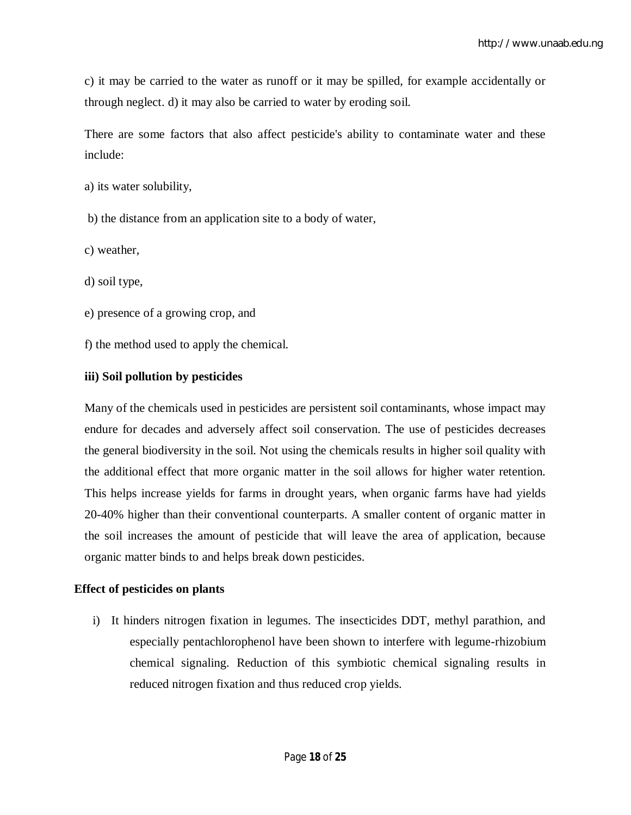c) it may be carried to the water as runoff or it may be spilled, for example accidentally or through neglect. d) it may also be carried to water by eroding soil.

There are some factors that also affect pesticide's ability to contaminate water and these include:

a) its water solubility,

b) the distance from an application site to a body of water,

c) weather,

d) soil type,

e) presence of a growing crop, and

f) the method used to apply the chemical.

### **iii) Soil pollution by pesticides**

Many of the chemicals used in pesticides are persistent soil contaminants, whose impact may endure for decades and adversely affect soil conservation. The use of pesticides decreases the general biodiversity in the soil. Not using the chemicals results in higher soil quality with the additional effect that more organic matter in the soil allows for higher water retention. This helps increase yields for farms in drought years, when organic farms have had yields 20-40% higher than their conventional counterparts. A smaller content of organic matter in the soil increases the amount of pesticide that will leave the area of application, because organic matter binds to and helps break down pesticides.

## **Effect of pesticides on plants**

i) It hinders nitrogen fixation in legumes. The insecticides DDT, methyl parathion, and especially pentachlorophenol have been shown to interfere with legume-rhizobium chemical signaling. Reduction of this symbiotic chemical signaling results in reduced nitrogen fixation and thus reduced crop yields.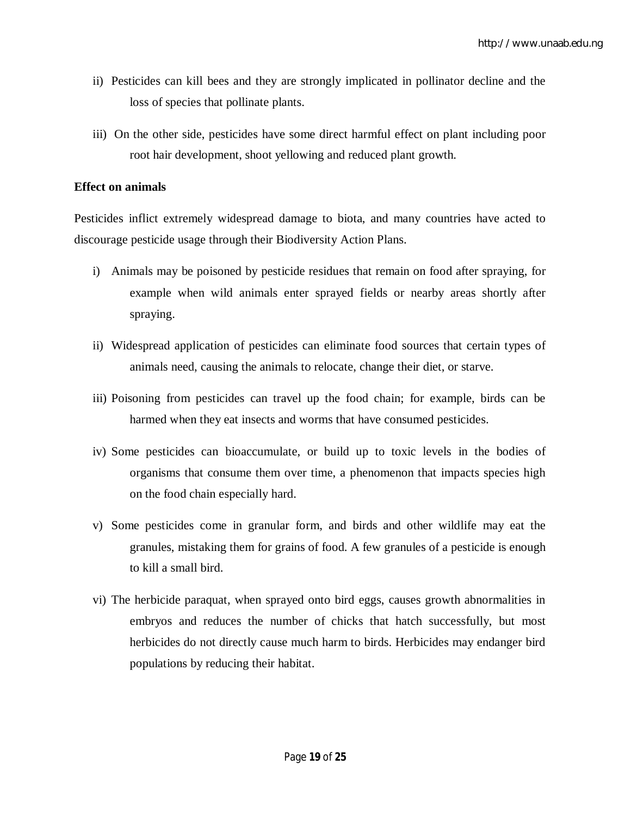- ii) Pesticides can kill bees and they are strongly implicated in pollinator decline and the loss of species that pollinate plants.
- iii) On the other side, pesticides have some direct harmful effect on plant including poor root hair development, shoot yellowing and reduced plant growth.

#### **Effect on animals**

Pesticides inflict extremely widespread damage to biota, and many countries have acted to discourage pesticide usage through their Biodiversity Action Plans.

- i) Animals may be poisoned by pesticide residues that remain on food after spraying, for example when wild animals enter sprayed fields or nearby areas shortly after spraying.
- ii) Widespread application of pesticides can eliminate food sources that certain types of animals need, causing the animals to relocate, change their diet, or starve.
- iii) Poisoning from pesticides can travel up the food chain; for example, birds can be harmed when they eat insects and worms that have consumed pesticides.
- iv) Some pesticides can bioaccumulate, or build up to toxic levels in the bodies of organisms that consume them over time, a phenomenon that impacts species high on the food chain especially hard.
- v) Some pesticides come in granular form, and birds and other wildlife may eat the granules, mistaking them for grains of food. A few granules of a pesticide is enough to kill a small bird.
- vi) The herbicide paraquat, when sprayed onto bird eggs, causes growth abnormalities in embryos and reduces the number of chicks that hatch successfully, but most herbicides do not directly cause much harm to birds. Herbicides may endanger bird populations by reducing their habitat.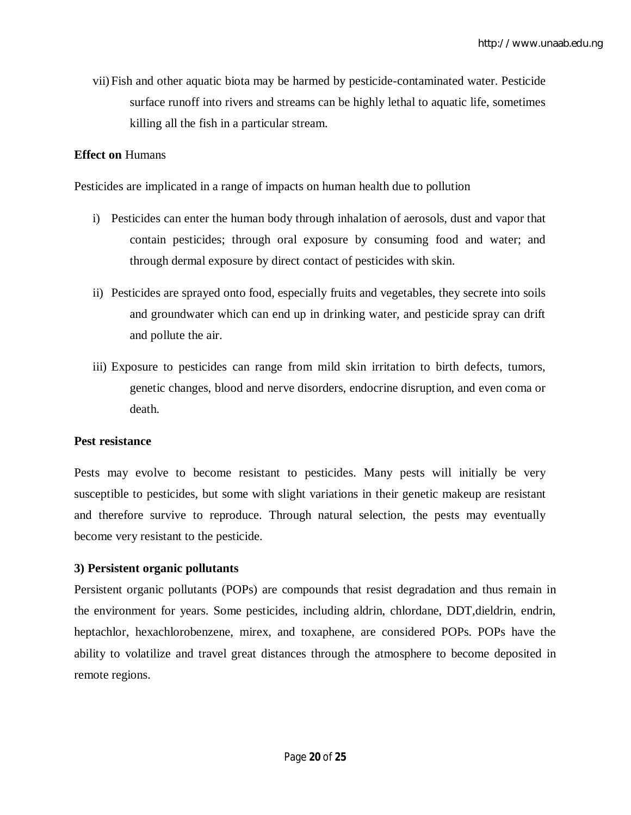vii) Fish and other aquatic biota may be harmed by pesticide-contaminated water. Pesticide surface runoff into rivers and streams can be highly lethal to aquatic life, sometimes killing all the fish in a particular stream.

## **Effect on** Humans

Pesticides are implicated in a range of impacts on human health due to pollution

- i) Pesticides can enter the human body through inhalation of aerosols, dust and vapor that contain pesticides; through oral exposure by consuming food and water; and through dermal exposure by direct contact of pesticides with skin.
- ii) Pesticides are sprayed onto food, especially fruits and vegetables, they secrete into soils and groundwater which can end up in drinking water, and pesticide spray can drift and pollute the air.
- iii) Exposure to pesticides can range from mild skin irritation to birth defects, tumors, genetic changes, blood and nerve disorders, endocrine disruption, and even coma or death.

#### **Pest resistance**

Pests may evolve to become resistant to pesticides. Many pests will initially be very susceptible to pesticides, but some with slight variations in their genetic makeup are resistant and therefore survive to reproduce. Through natural selection, the pests may eventually become very resistant to the pesticide.

## **3) Persistent organic pollutants**

Persistent organic pollutants (POPs) are compounds that resist degradation and thus remain in the environment for years. Some pesticides, including aldrin, chlordane, DDT,dieldrin, endrin, heptachlor, hexachlorobenzene, mirex, and toxaphene, are considered POPs. POPs have the ability to volatilize and travel great distances through the atmosphere to become deposited in remote regions.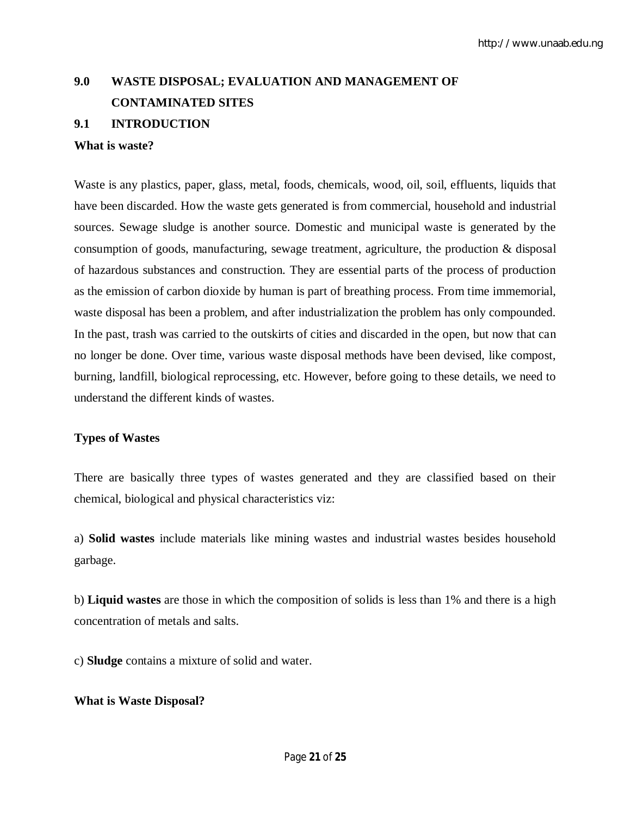## **9.0 WASTE DISPOSAL; EVALUATION AND MANAGEMENT OF CONTAMINATED SITES**

## **9.1 INTRODUCTION**

#### **What is waste?**

Waste is any plastics, paper, glass, metal, foods, chemicals, wood, oil, soil, effluents, liquids that have been discarded. How the waste gets generated is from commercial, household and industrial sources. Sewage sludge is another source. Domestic and municipal waste is generated by the consumption of goods, manufacturing, sewage treatment, agriculture, the production & disposal of hazardous substances and construction. They are essential parts of the process of production as the emission of carbon dioxide by human is part of breathing process. From time immemorial, waste disposal has been a problem, and after industrialization the problem has only compounded. In the past, trash was carried to the outskirts of cities and discarded in the open, but now that can no longer be done. Over time, various waste disposal methods have been devised, like compost, burning, landfill, biological reprocessing, etc. However, before going to these details, we need to understand the different kinds of wastes.

#### **Types of Wastes**

There are basically three types of wastes generated and they are classified based on their chemical, biological and physical characteristics viz:

a) **Solid wastes** include materials like mining wastes and industrial wastes besides household garbage.

b) **Liquid wastes** are those in which the composition of solids is less than 1% and there is a high concentration of metals and salts.

c) **Sludge** contains a mixture of solid and water.

#### **What is Waste Disposal?**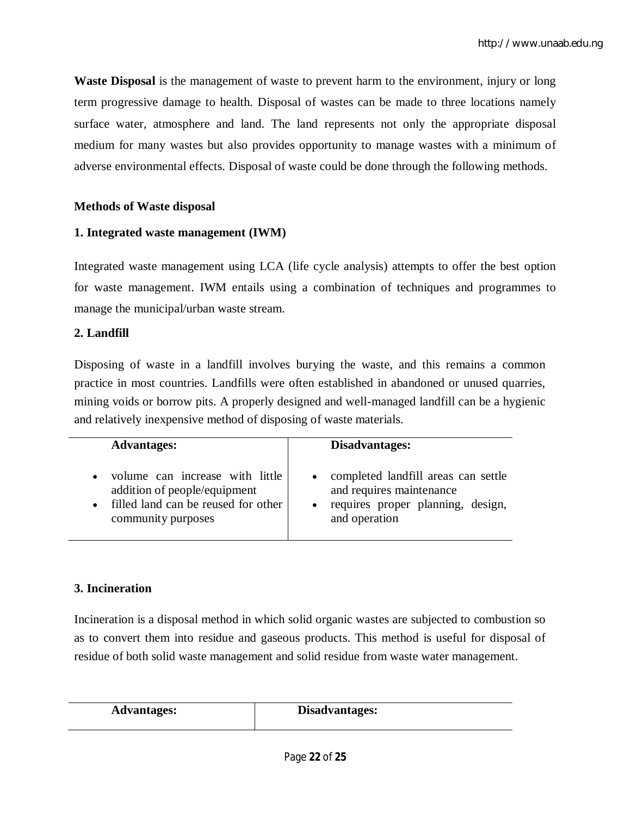**Waste Disposal** is the management of waste to prevent harm to the environment, injury or long term progressive damage to health. Disposal of wastes can be made to three locations namely surface water, atmosphere and land. The land represents not only the appropriate disposal medium for many wastes but also provides opportunity to manage wastes with a minimum of adverse environmental effects. Disposal of waste could be done through the following methods.

## **Methods of Waste disposal**

## **1. Integrated waste management (IWM)**

Integrated waste management using LCA (life cycle analysis) attempts to offer the best option for waste management. IWM entails using a combination of techniques and programmes to manage the municipal/urban waste stream.

## **2. Landfill**

Disposing of waste in a landfill involves burying the waste, and this remains a common practice in most countries. Landfills were often established in abandoned or unused quarries, mining voids or borrow pits. A properly designed and well-managed landfill can be a hygienic and relatively inexpensive method of disposing of waste materials.

| <b>Advantages:</b>                                                                                                                                     | Disadvantages:                                                                                                          |
|--------------------------------------------------------------------------------------------------------------------------------------------------------|-------------------------------------------------------------------------------------------------------------------------|
| volume can increase with little<br>$\bullet$<br>addition of people/equipment<br>filled land can be reused for other<br>$\bullet$<br>community purposes | • completed landfill areas can settle<br>and requires maintenance<br>requires proper planning, design,<br>and operation |

## **3. Incineration**

Incineration is a disposal method in which solid organic wastes are subjected to combustion so as to convert them into residue and gaseous products. This method is useful for disposal of residue of both solid waste management and solid residue from waste water management.

| <b>Advantages:</b> | Disadvantages: |
|--------------------|----------------|
|                    |                |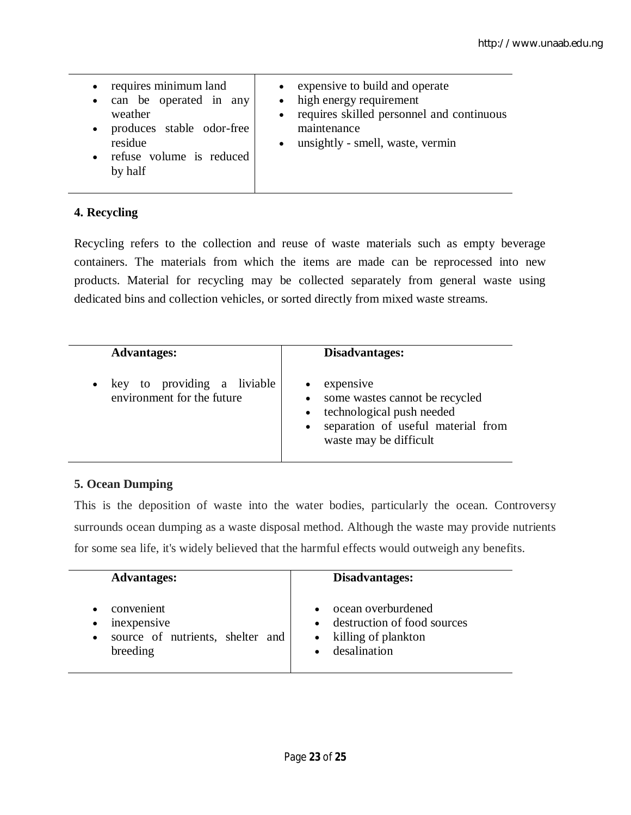## **4. Recycling**

Recycling refers to the collection and reuse of waste materials such as empty beverage containers. The materials from which the items are made can be reprocessed into new products. Material for recycling may be collected separately from general waste using dedicated bins and collection vehicles, or sorted directly from mixed waste streams.

| <b>Advantages:</b>                                                     | Disadvantages:                                                                                                                               |
|------------------------------------------------------------------------|----------------------------------------------------------------------------------------------------------------------------------------------|
| key to providing a liviable<br>$\bullet$<br>environment for the future | expensive<br>• some wastes cannot be recycled<br>technological push needed<br>• separation of useful material from<br>waste may be difficult |

## **5. Ocean Dumping**

This is the deposition of waste into the water bodies, particularly the ocean. Controversy surrounds ocean dumping as a waste disposal method. Although the waste may provide nutrients for some sea life, it's widely believed that the harmful effects would outweigh any benefits.

| <b>Advantages:</b>               | Disadvantages:              |
|----------------------------------|-----------------------------|
| convenient                       | ocean overburdened          |
| inexpensive                      | destruction of food sources |
| source of nutrients, shelter and | killing of plankton         |
| breeding                         | desalination                |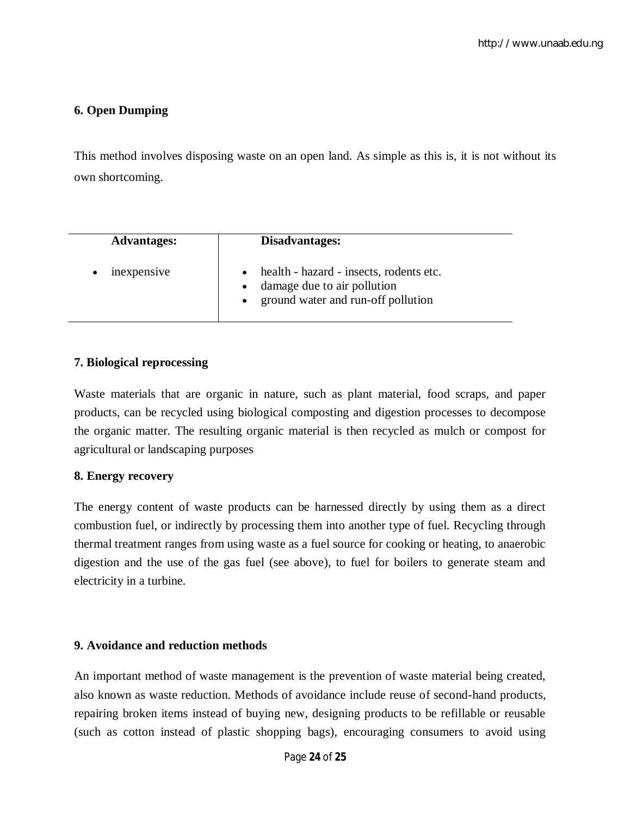## **6. Open Dumping**

This method involves disposing waste on an open land. As simple as this is, it is not without its own shortcoming.

| <b>Advantages:</b> | Disadvantages:                                                                                               |
|--------------------|--------------------------------------------------------------------------------------------------------------|
| mexpensive         | health - hazard - insects, rodents etc.<br>damage due to air pollution<br>ground water and run-off pollution |

## **7. Biological reprocessing**

Waste materials that are organic in nature, such as plant material, food scraps, and paper products, can be recycled using biological composting and digestion processes to decompose the organic matter. The resulting organic material is then recycled as mulch or compost for agricultural or landscaping purposes

#### **8. Energy recovery**

The energy content of waste products can be harnessed directly by using them as a direct combustion fuel, or indirectly by processing them into another type of fuel. Recycling through thermal treatment ranges from using waste as a fuel source for cooking or heating, to anaerobic digestion and the use of the gas fuel (see above), to fuel for boilers to generate steam and electricity in a turbine.

#### **9. Avoidance and reduction methods**

An important method of waste management is the prevention of waste material being created, also known as waste reduction. Methods of avoidance include reuse of second-hand products, repairing broken items instead of buying new, designing products to be refillable or reusable (such as cotton instead of plastic shopping bags), encouraging consumers to avoid using